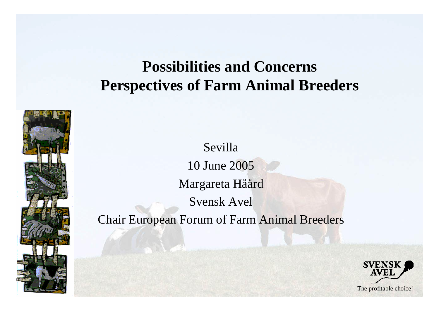### **Possibilities and Concerns Perspectives of Farm Animal Breeders**



Sevilla 10 June 2005 Margareta Håård Svensk Avel Chair European Forum of Farm Animal Breeders

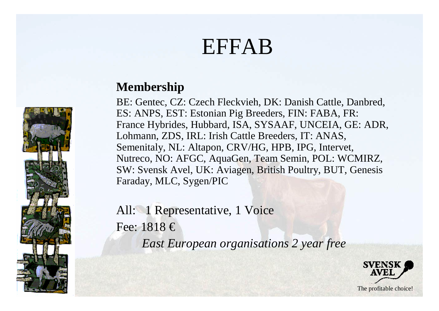# EFFAB



BE: Gentec, CZ: Czech Fleckvieh, DK: Danish Cattle, Danbred, ES: ANPS, EST: Estonian Pig Breeders, FIN: FABA, FR: France Hybrides, Hubbard, ISA, SYSAAF, UNCEIA, GE: ADR, Lohmann, ZDS, IRL: Irish Cattle Breeders, IT: ANAS, Semenitaly, NL: Altapon, CRV/HG, HPB, IPG, Intervet, Nutreco, NO: AFGC, AquaGen, Team Semin, POL: WCMIRZ, SW: Svensk Avel, UK: Aviagen, British Poultry, BUT, Genesis Faraday, MLC, Sygen/PIC

All: 1 Representative, 1 Voice Fee:  $1818 \in$ *East European organisations 2 year free*



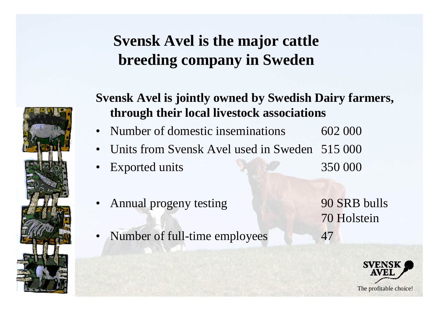### **Svensk Avel is the major cattle breeding company in Sweden**



#### **Svensk Avel is jointly owned by Swedish Dairy farmers, through their local livestock associations**

- Number of domestic inseminations 602 000
- Units from Svensk Avel used in Sweden 515 000
- Exported units 350 000
- Annual progeny testing 90 SRB bulls
- Number of full-time employees 47

70 Holstein

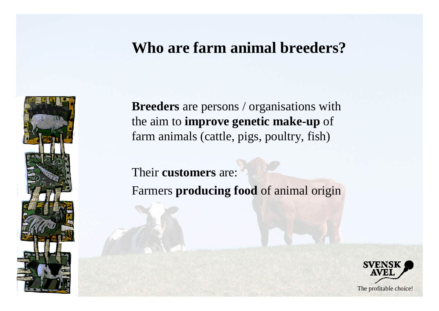### **Who are farm animal breeders?**



**Breeders** are persons / organisations with the aim to **improve genetic make-up** of farm animals (cattle, pigs, poultry, fish)

Their **customers** are: Farmers **producing food** of animal origin

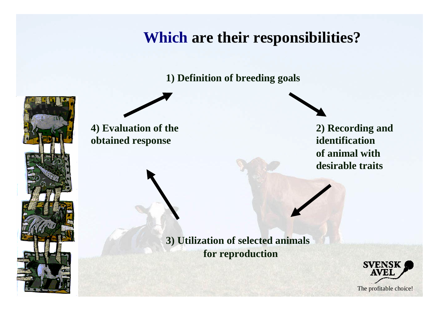### **Which are their responsibilities?**

**1) Definition of breeding goals**



**4) Evaluation of the 2) Recording and obtained response identification** 

**of animal with desirable traits**

**3) Utilization of selected animals for reproduction**

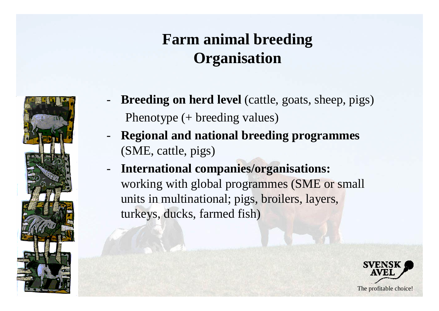### **Farm animal breeding Organisation**



- **Breeding on herd level** (cattle, goats, sheep, pigs) Phenotype (+ breeding values)
- **Regional and national breeding programmes**  (SME, cattle, pigs)
- **International companies/organisations:**  working with global programmes (SME or small units in multinational; pigs, broilers, layers, turkeys, ducks, farmed fish)

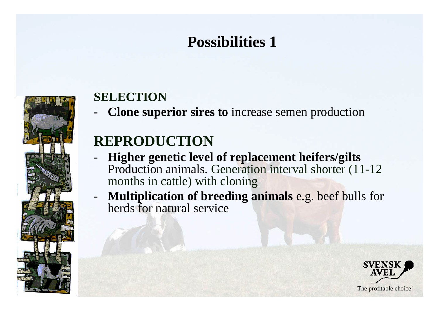### **Possibilities 1**



#### **SELECTION**

- **Clone superior sires to** increase semen production

### **REPRODUCTION**

- **Higher genetic level of replacement heifers/gilts** Production animals. Generation interval shorter (11-12 months in cattle) with cloning
- **Multiplication of breeding animals** e.g. beef bulls for herds for natural service

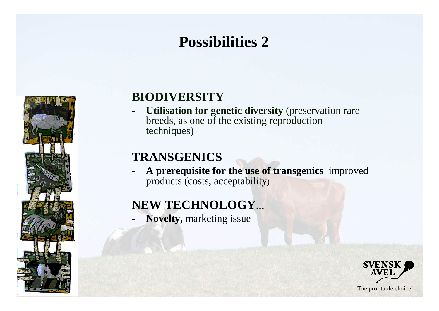## **Possibilities 2**



#### **BIODIVERSITY**

- **Utilisation for genetic diversity** (preservation rare breeds, as one of the existing reproduction techniques)

#### **TRANSGENICS**

- **A prerequisite for the use of transgenics** improved products (costs, acceptability)

#### **NEW TECHNOLOGY…**

- **Novelty,** marketing issue

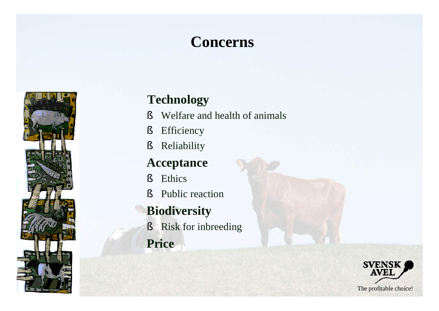### **Concerns**



#### **Technology**

- § Welfare and health of animals
- § Efficiency
- § Reliability

#### **Acceptance**

- § Ethics
- § Public reaction

#### **Biodiversity**

- § Risk for inbreeding
- **Price**

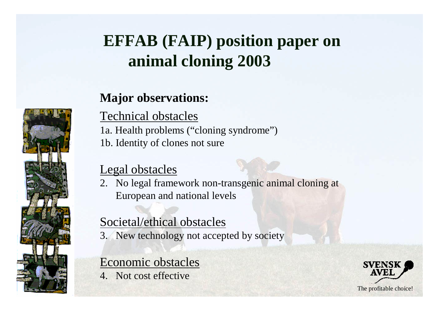# **EFFAB (FAIP) position paper on animal cloning 2003**

#### **Major observations:**

Technical obstacles

1a. Health problems ("cloning syndrome") 1b. Identity of clones not sure

#### Legal obstacles

2. No legal framework non-transgenic animal cloning at European and national levels

#### Societal/ethical obstacles

3. New technology not accepted by society

#### Economic obstacles

4. Not cost effective



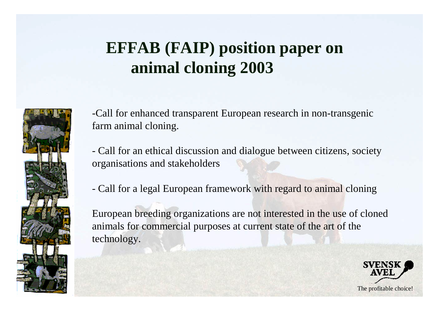# **EFFAB (FAIP) position paper on animal cloning 2003**



-Call for enhanced transparent European research in non-transgenic farm animal cloning.

- Call for an ethical discussion and dialogue between citizens, society organisations and stakeholders

- Call for a legal European framework with regard to animal cloning

European breeding organizations are not interested in the use of cloned animals for commercial purposes at current state of the art of the technology.

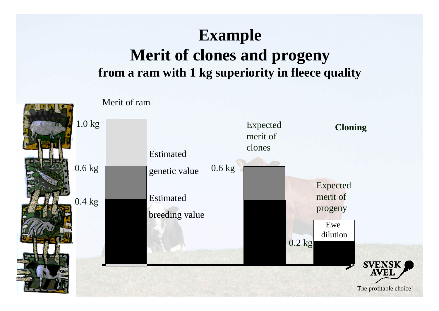### **Example Merit of clones and progeny from a ram with 1 kg superiority in fleece quality**

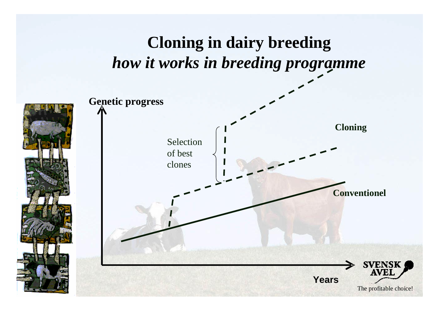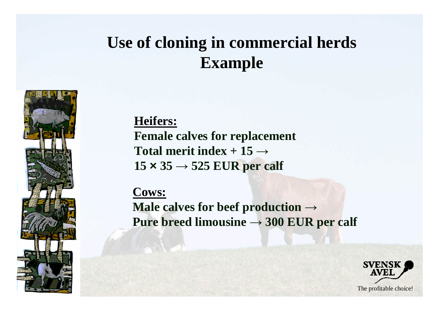## **Use of cloning in commercial herds Example**



**Heifers: Female calves for replacement** Total merit index  $+15 \rightarrow$  $15 \times 35 \rightarrow 525$  EUR per calf

**Cows:**

**Male calves for beef production → Pure breed limousine**  $\rightarrow$  **300 EUR per calf** 

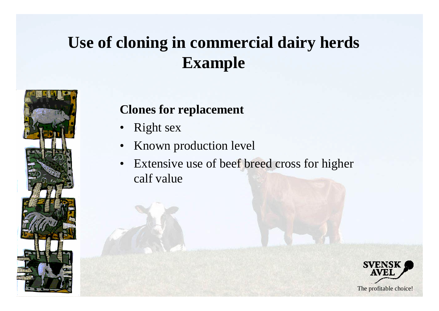# **Use of cloning in commercial dairy herds Example**



#### **Clones for replacement**

- Right sex
- Known production level
- Extensive use of beef breed cross for higher calf value

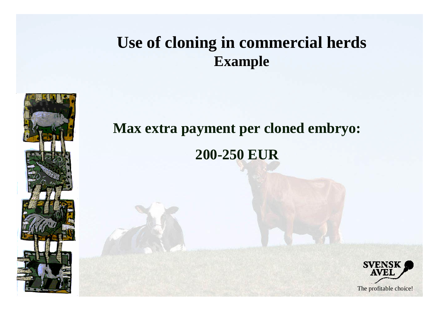### **Use of cloning in commercial herds Example**



# **Max extra payment per cloned embryo: 200-250 EUR**

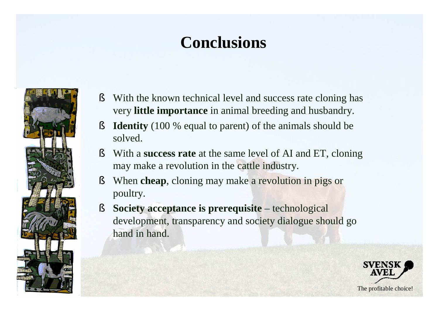# **Conclusions**



- § With the known technical level and success rate cloning has very **little importance** in animal breeding and husbandry.
- § **Identity** (100 % equal to parent) of the animals should be solved.
- § With a **success rate** at the same level of AI and ET, cloning may make a revolution in the cattle industry.
- § When **cheap**, cloning may make a revolution in pigs or poultry.
- § **Society acceptance is prerequisite** technological development, transparency and society dialogue should go hand in hand.

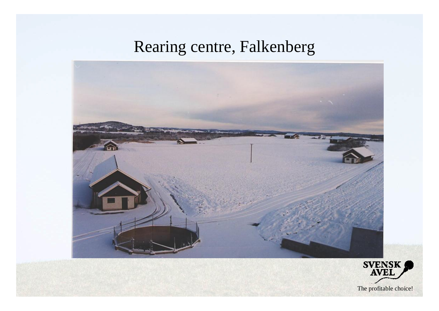### Rearing centre, Falkenberg



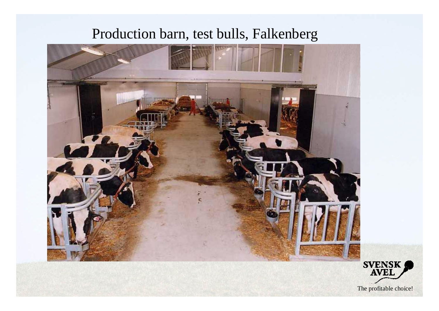### Production barn, test bulls, Falkenberg

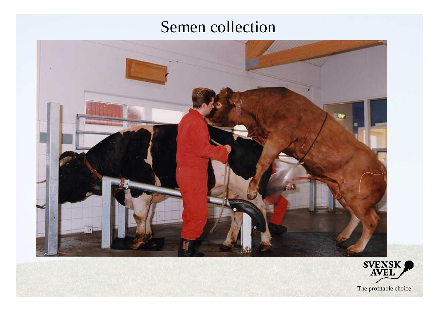### Semen collection



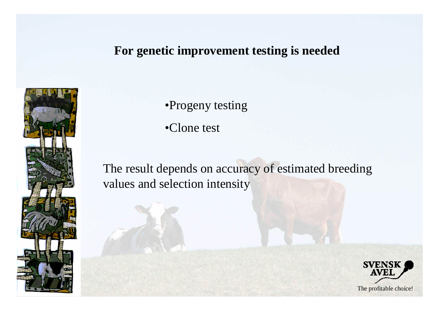#### **For genetic improvement testing is needed**



•Progeny testing

•Clone test

The result depends on accuracy of estimated breeding values and selection intensity

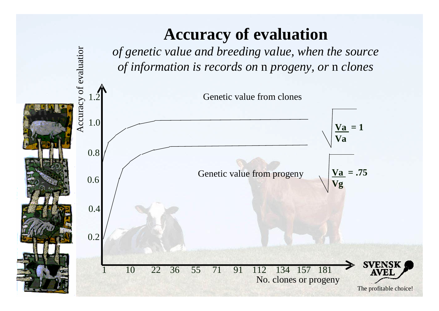### **Accuracy of evaluation**



 $\overline{\mathrm{a}}$ 

atio r

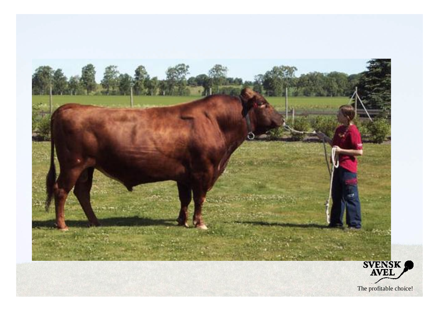